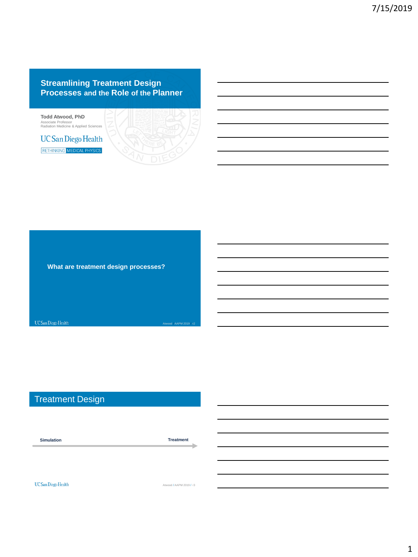#### **Streamlining Treatment Design Processes and the Role of the Planner**



**What are treatment design processes?**

UC San Diego Health Atwood / AAPM 2019 / #2

# Treatment Design

**Simulation Treatment**۵ UC San Diego Health Atwood / AAPM 2019 / #3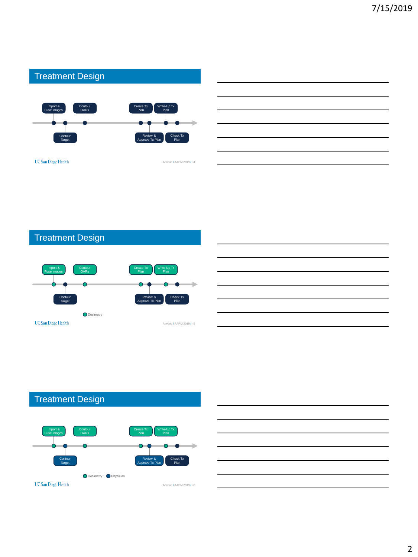

 $UC$ San Diego Health

Atwood / AAPM 2019 / #4

# Treatment Design





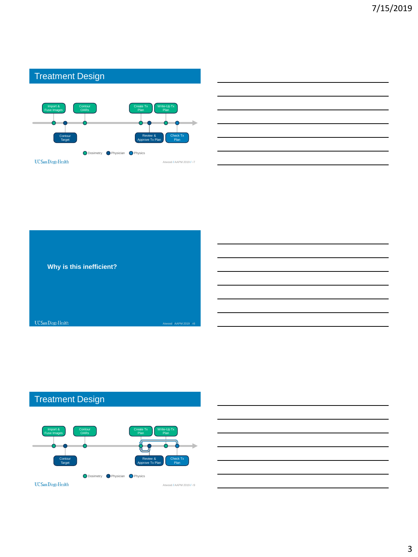#### Treatment Design Import & **Contour** Create Tx Write-Up Tx Fuse Images **OARs** Plan Plan Contour Review & Check Tx Target Approve Tx Plan Plan **O** Dosimetry **O** Physician **O** Physics  $UC$ San Diego Health Atwood / AAPM 2019 / #7

| Why is this inefficient? |                         |  |
|--------------------------|-------------------------|--|
|                          |                         |  |
|                          |                         |  |
|                          |                         |  |
| UC San Diego Health      | Atwood / AAPM 2019 / #8 |  |



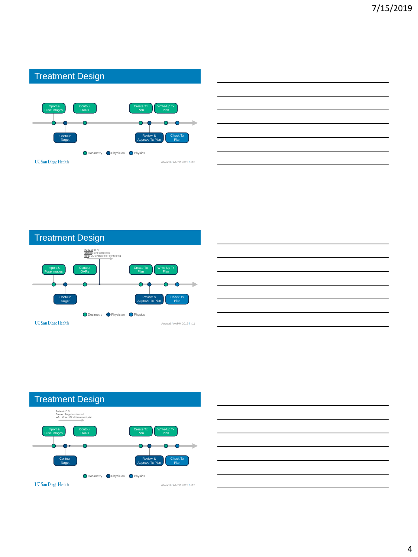#### Treatment Design Import & **Contour** Create Tx Write-Up Tx Fuse Images **OARs** Plan Plan Þ Contour Review & Check Tx Target Approve Tx Plan Plan **O** Dosimetry **O** Physician **O** Physics  $UC$ San Diego Health Atwood / AAPM 2019 / #10









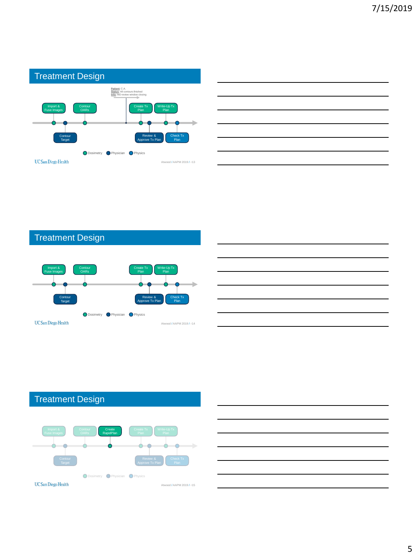





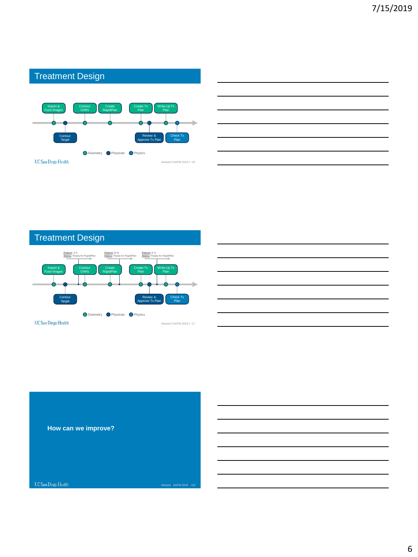

# Treatment Design **Patient:** B.W. **Status:** Ready for RapidPlan **Patient:** S.S. **Status:** Ready for RapidPlan **Patient:** E.H. **Status:** Ready for RapidPlan



# **How can we improve?**

UC San Diego Health

Atwood / AAPM 2019 / #18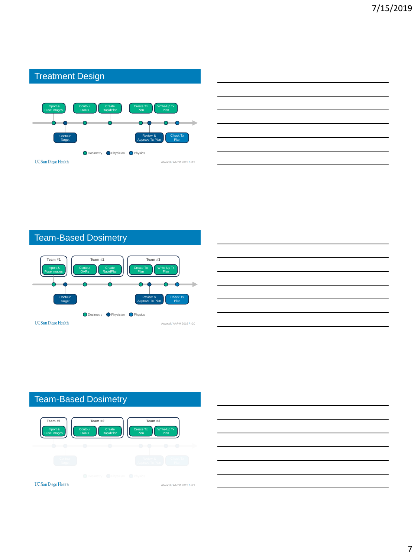

### Team-Based Dosimetry



### Team-Based Dosimetry



UC San Diego Health

7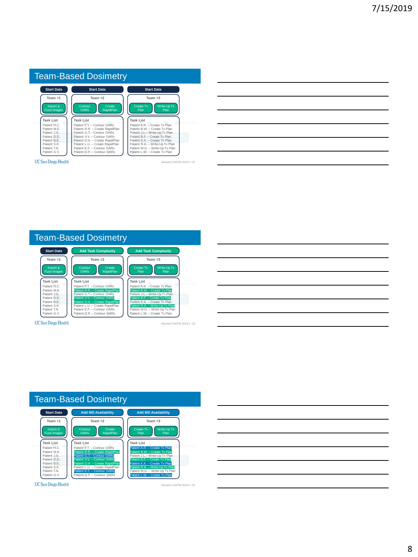| <b>Start Date</b>                             | <b>Start Date</b>                                                                                                                                                  |
|-----------------------------------------------|--------------------------------------------------------------------------------------------------------------------------------------------------------------------|
|                                               |                                                                                                                                                                    |
| Team #2                                       | Team $#3$                                                                                                                                                          |
| Contour<br>Create<br><b>OARs</b><br>RapidPlan | Write-Up Tx<br>Create Tx<br>Plan<br>Plan                                                                                                                           |
| <b>Task List</b>                              | <b>Task List</b>                                                                                                                                                   |
| Patient F.T. - Contour OARs                   | Patient A.R. - Create Tx Plan                                                                                                                                      |
|                                               | Patient B.W. - Create Tx Plan                                                                                                                                      |
|                                               | Patient J.L.- Write-Up Tx Plan<br>Patient B.E. - Create Tx Plan                                                                                                    |
|                                               | Patient K.K. - Create Tx Plan                                                                                                                                      |
|                                               | Patient R.A. - Write-Up Tx Plan                                                                                                                                    |
| Patient F.E. - Contour OARs                   | Patient M.G. - Write-Up Tx Plan                                                                                                                                    |
| Patient O.P. - Contour OARs                   | Patient L.W. - Create Tx Plan                                                                                                                                      |
|                                               | Patient R.R. - Create RapidPlan<br>Patient G.T.- Contour OARs<br>Patient V.V. - Contour OARs<br>Patient D.H. - Create RapidPlan<br>Patient L.U. - Create RapidPlan |

| <u> 1989 - Johann Barn, mars ann an t-Amhainn an t-Amhainn an t-Amhainn an t-Amhainn an t-Amhainn an t-Amhainn an </u> |  |  |
|------------------------------------------------------------------------------------------------------------------------|--|--|
| <u> 1989 - Johann Barn, mars ann an t-Amhainn an t-Amhainn an t-Amhainn an t-Amhainn an t-Amhainn an t-Amhainn an</u>  |  |  |
| <u> 1989 - Johann Barn, amerikan bernama di sebagai pertama di sebagai pertama di sebagai pertama di sebagai per</u>   |  |  |
| <u> 1989 - Johann Barn, mars ann an t-Amhain ann an t-Amhain ann an t-Amhain ann an t-Amhain an t-Amhain ann an t-</u> |  |  |
| <u> 1989 - Andrea Andrew Maria (h. 1989).</u>                                                                          |  |  |
|                                                                                                                        |  |  |





UC San Diego Health

Atwood / AAPM 2019 / #24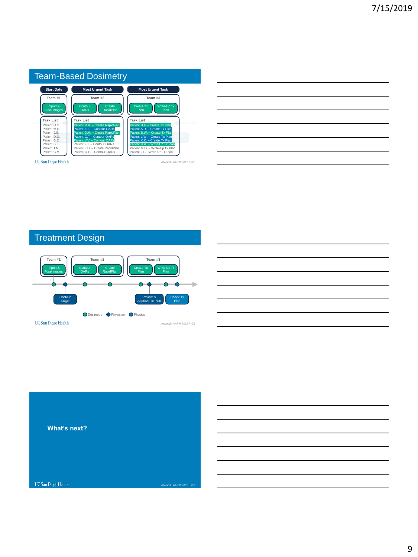|                                | Team-Based Dosimetry                                          |                                                                |
|--------------------------------|---------------------------------------------------------------|----------------------------------------------------------------|
| <b>Start Date</b>              | <b>Most Urgent Task</b>                                       | <b>Most Urgent Task</b>                                        |
| Team #1                        | Team #2                                                       | Team $#3$                                                      |
| Import &<br><b>Fuse Images</b> | Contour<br>Create<br><b>OARs</b><br>RapidPlan                 | Write-Up Tx<br>Create Tx<br>Plan<br>Plan                       |
| <b>Task List</b>               | <b>Task List</b>                                              | <b>Task List</b>                                               |
| Patient H.C.                   | Patient R.R. - Create RapidPlan                               | Patient B.F. - Create Tx Plan                                  |
| Patient M.F.                   | Patient E.F. - Contour OARs                                   | Patient A.R. - Create Tx Plan                                  |
| Patient J.S.<br>Patient D.D.   | Patient D.H. - Create RapidPlan<br>Patient G.T.- Contour OARs | Patient B.W. - Create Tx Plan<br>Patient L.W. - Create Tx Plan |
| Patient B.F.                   | Patient V.V. - Contour OARs                                   | Patient K.K. - Create Tx Plan                                  |
| Patient S.K.                   | Patient F.T. - Contour OARs                                   | Patient R.A. - Write-Up Tx Plan                                |
| Patient T.N.                   | Patient L.U. - Create RapidPlan                               | Patient M.G. - Write-Up Tx Plan                                |
| Patient G.V.                   | Patient O.P. - Contour OARs                                   | Patient J.L.- Write-Up Tx Plan                                 |

| <u> 1989 - Johann Stoff, amerikansk politiker (d. 1989)</u>                                                          |  |  |
|----------------------------------------------------------------------------------------------------------------------|--|--|
|                                                                                                                      |  |  |
| <u> 1980 - Johann Barn, amerikan besteman besteman besteman besteman besteman besteman besteman besteman bestema</u> |  |  |
| <u> 1989 - Andrea Santa Andrea Andrea Andrea Andrea Andrea Andrea Andrea Andrea Andrea Andrea Andrea Andrea Andr</u> |  |  |
|                                                                                                                      |  |  |
|                                                                                                                      |  |  |